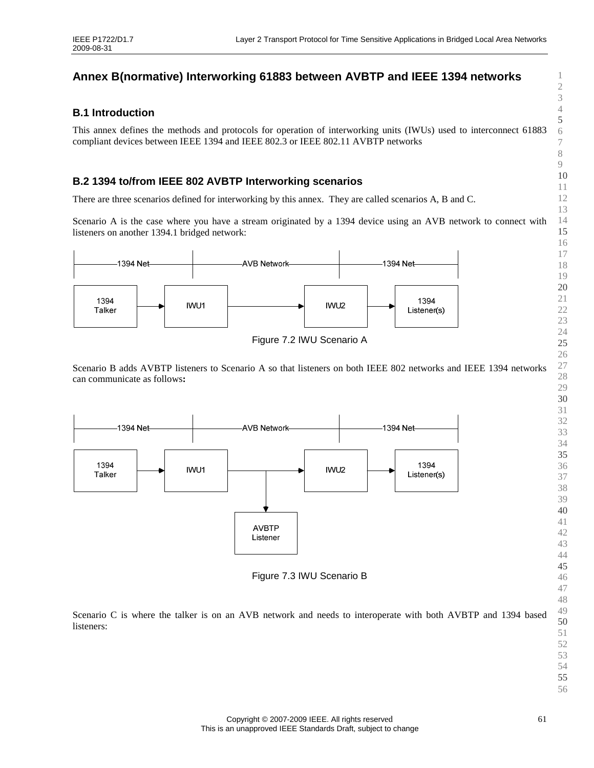# **Annex B(normative) Interworking 61883 between AVBTP and IEEE 1394 networks**

## **B.1 Introduction**

This annex defines the methods and protocols for operation of interworking units (IWUs) used to interconnect 61883 compliant devices between IEEE 1394 and IEEE 802.3 or IEEE 802.11 AVBTP networks

# **B.2 1394 to/from IEEE 802 AVBTP Interworking scenarios**

There are three scenarios defined for interworking by this annex. They are called scenarios A, B and C.

Scenario A is the case where you have a stream originated by a 1394 device using an AVB network to connect with listeners on another 1394.1 bridged network:



Figure 7.2 IWU Scenario A

Scenario B adds AVBTP listeners to Scenario A so that listeners on both IEEE 802 networks and IEEE 1394 networks can communicate as follows**:** 



Figure 7.3 IWU Scenario B

Scenario C is where the talker is on an AVB network and needs to interoperate with both AVBTP and 1394 based listeners: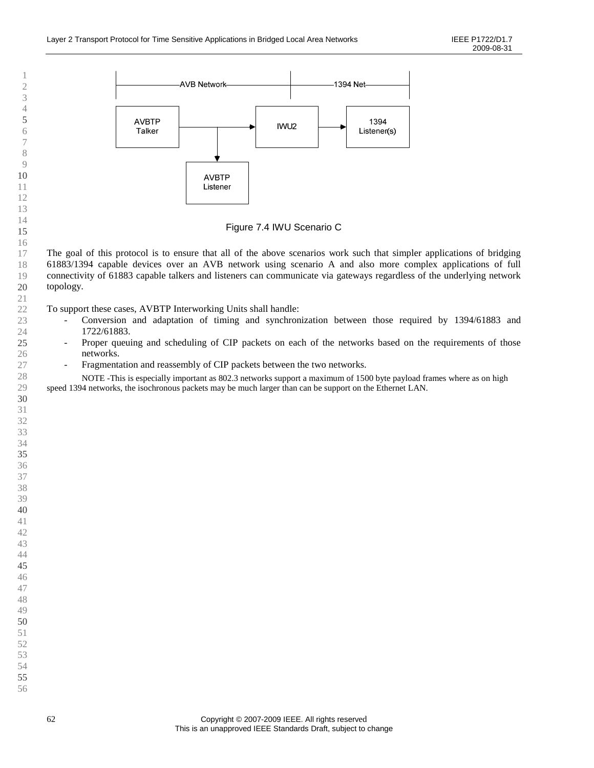

Figure 7.4 IWU Scenario C

The goal of this protocol is to ensure that all of the above scenarios work such that simpler applications of bridging 61883/1394 capable devices over an AVB network using scenario A and also more complex applications of full connectivity of 61883 capable talkers and listeners can communicate via gateways regardless of the underlying network topology.

To support these cases, AVBTP Interworking Units shall handle:

- Conversion and adaptation of timing and synchronization between those required by 1394/61883 and 1722/61883.
- Proper queuing and scheduling of CIP packets on each of the networks based on the requirements of those networks.
- Fragmentation and reassembly of CIP packets between the two networks.

 NOTE -This is especially important as 802.3 networks support a maximum of 1500 byte payload frames where as on high speed 1394 networks, the isochronous packets may be much larger than can be support on the Ethernet LAN.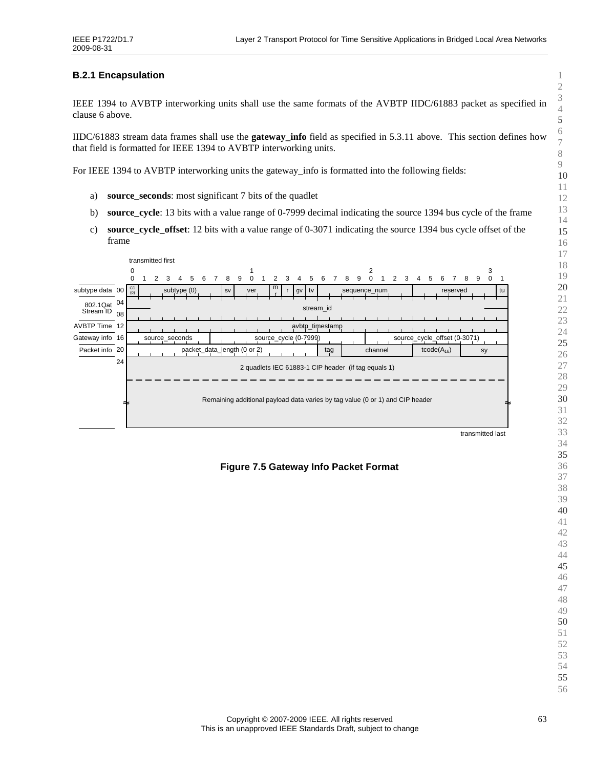## **B.2.1 Encapsulation**

IEEE 1394 to AVBTP interworking units shall use the same formats of the AVBTP IIDC/61883 packet as specified in clause 6 above.

IIDC/61883 stream data frames shall use the **gateway\_info** field as specified in 5.3.11 above. This section defines how that field is formatted for IEEE 1394 to AVBTP interworking units.

For IEEE 1394 to AVBTP interworking units the gateway\_info is formatted into the following fields:

- a) **source\_seconds**: most significant 7 bits of the quadlet
- b) **source\_cycle**: 13 bits with a value range of 0-7999 decimal indicating the source 1394 bus cycle of the frame
- c) **source\_cycle\_offset**: 12 bits with a value range of 0-3071 indicating the source 1394 bus cycle offset of the frame



## **Figure 7.5 Gateway Info Packet Format**